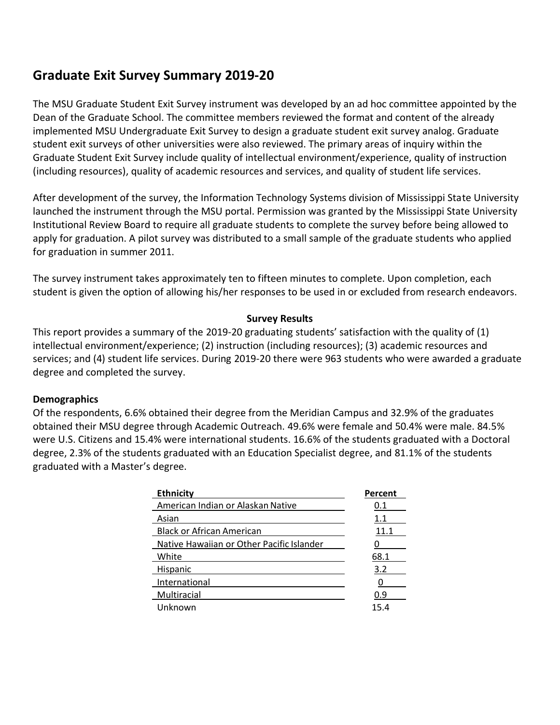# **Graduate Exit Survey Summary 2019-20**

The MSU Graduate Student Exit Survey instrument was developed by an ad hoc committee appointed by the Dean of the Graduate School. The committee members reviewed the format and content of the already implemented MSU Undergraduate Exit Survey to design a graduate student exit survey analog. Graduate student exit surveys of other universities were also reviewed. The primary areas of inquiry within the Graduate Student Exit Survey include quality of intellectual environment/experience, quality of instruction (including resources), quality of academic resources and services, and quality of student life services.

After development of the survey, the Information Technology Systems division of Mississippi State University launched the instrument through the MSU portal. Permission was granted by the Mississippi State University Institutional Review Board to require all graduate students to complete the survey before being allowed to apply for graduation. A pilot survey was distributed to a small sample of the graduate students who applied for graduation in summer 2011.

The survey instrument takes approximately ten to fifteen minutes to complete. Upon completion, each student is given the option of allowing his/her responses to be used in or excluded from research endeavors.

#### **Survey Results**

This report provides a summary of the 2019-20 graduating students' satisfaction with the quality of (1) intellectual environment/experience; (2) instruction (including resources); (3) academic resources and services; and (4) student life services. During 2019-20 there were 963 students who were awarded a graduate degree and completed the survey.

#### **Demographics**

Of the respondents, 6.6% obtained their degree from the Meridian Campus and 32.9% of the graduates obtained their MSU degree through Academic Outreach. 49.6% were female and 50.4% were male. 84.5% were U.S. Citizens and 15.4% were international students. 16.6% of the students graduated with a Doctoral degree, 2.3% of the students graduated with an Education Specialist degree, and 81.1% of the students graduated with a Master's degree.

| <b>Ethnicity</b>                          | Percent |
|-------------------------------------------|---------|
| American Indian or Alaskan Native         | 0.1     |
| Asian                                     | 1.1     |
| <b>Black or African American</b>          | 11.1    |
| Native Hawaiian or Other Pacific Islander |         |
| White                                     | 68.1    |
| Hispanic                                  | 3.2     |
| International                             |         |
| Multiracial                               | 0.9     |
| Unknown                                   | 15.4    |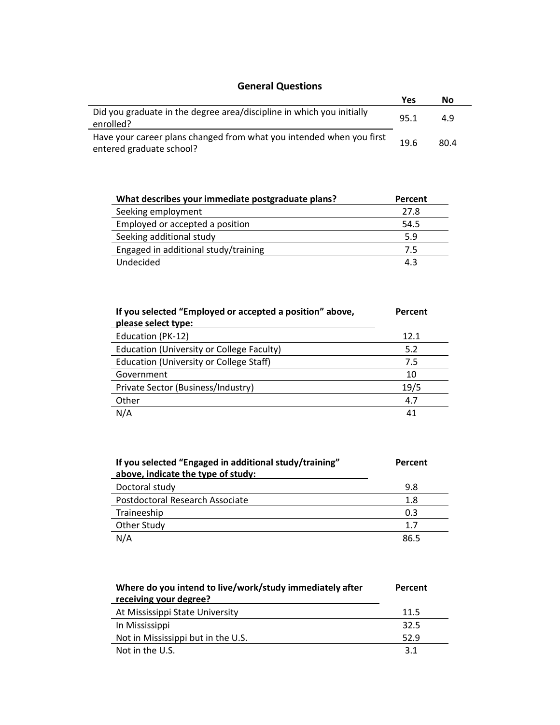### **General Questions**

|                                                                                                  | Yes  | No   |
|--------------------------------------------------------------------------------------------------|------|------|
| Did you graduate in the degree area/discipline in which you initially<br>enrolled?               | 95.1 | 4.9  |
| Have your career plans changed from what you intended when you first<br>entered graduate school? | 19.6 | 80.4 |

| What describes your immediate postgraduate plans? | Percent |
|---------------------------------------------------|---------|
| Seeking employment                                | 27.8    |
| Employed or accepted a position                   | 54.5    |
| Seeking additional study                          | 5.9     |
| Engaged in additional study/training              | 7.5     |
| Undecided                                         | 4.3     |

| If you selected "Employed or accepted a position" above,<br>please select type: | Percent |
|---------------------------------------------------------------------------------|---------|
| Education (PK-12)                                                               | 12.1    |
| Education (University or College Faculty)                                       | 5.2     |
| Education (University or College Staff)                                         | 7.5     |
| Government                                                                      | 10      |
| Private Sector (Business/Industry)                                              | 19/5    |
| Other                                                                           | 4.7     |
| N/A                                                                             | 41      |

| If you selected "Engaged in additional study/training"<br>above, indicate the type of study: | Percent |
|----------------------------------------------------------------------------------------------|---------|
| Doctoral study                                                                               | 9.8     |
| Postdoctoral Research Associate                                                              | 1.8     |
| Traineeship                                                                                  | 0.3     |
| Other Study                                                                                  | 1.7     |
| N/A                                                                                          | 86.5    |

| Where do you intend to live/work/study immediately after<br>receiving your degree? | Percent |
|------------------------------------------------------------------------------------|---------|
| At Mississippi State University                                                    | 11.5    |
| In Mississippi                                                                     | 32.5    |
| Not in Mississippi but in the U.S.                                                 | 52.9    |
| Not in the U.S.                                                                    | 3.1     |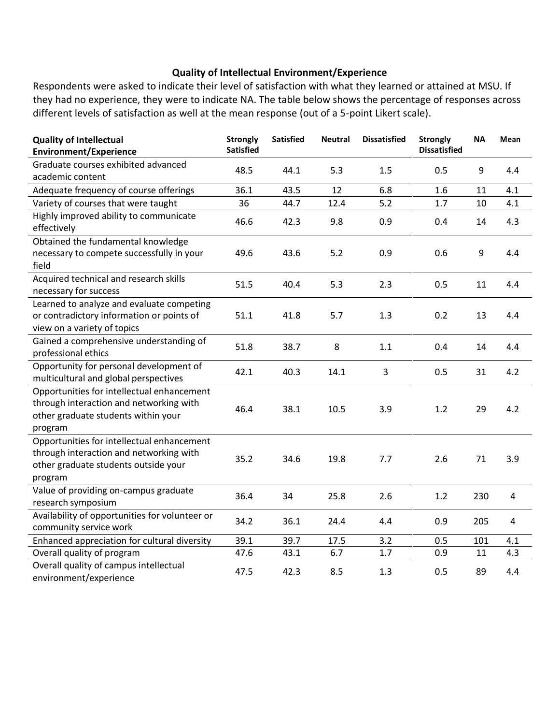#### **Quality of Intellectual Environment/Experience**

Respondents were asked to indicate their level of satisfaction with what they learned or attained at MSU. If they had no experience, they were to indicate NA. The table below shows the percentage of responses across different levels of satisfaction as well at the mean response (out of a 5-point Likert scale).

| <b>Quality of Intellectual</b><br><b>Environment/Experience</b>                                                                          | <b>Strongly</b><br><b>Satisfied</b> | <b>Satisfied</b> | <b>Neutral</b> | <b>Dissatisfied</b> | <b>Strongly</b><br><b>Dissatisfied</b> | <b>NA</b> | Mean           |
|------------------------------------------------------------------------------------------------------------------------------------------|-------------------------------------|------------------|----------------|---------------------|----------------------------------------|-----------|----------------|
| Graduate courses exhibited advanced<br>academic content                                                                                  | 48.5                                | 44.1             | 5.3            | 1.5                 | 0.5                                    | 9         | 4.4            |
| Adequate frequency of course offerings                                                                                                   | 36.1                                | 43.5             | 12             | 6.8                 | 1.6                                    | 11        | 4.1            |
| Variety of courses that were taught                                                                                                      | 36                                  | 44.7             | 12.4           | 5.2                 | 1.7                                    | 10        | 4.1            |
| Highly improved ability to communicate<br>effectively                                                                                    | 46.6                                | 42.3             | 9.8            | 0.9                 | 0.4                                    | 14        | 4.3            |
| Obtained the fundamental knowledge                                                                                                       |                                     |                  |                |                     |                                        |           |                |
| necessary to compete successfully in your<br>field                                                                                       | 49.6                                | 43.6             | 5.2            | 0.9                 | 0.6                                    | 9         | 4.4            |
| Acquired technical and research skills<br>necessary for success                                                                          | 51.5                                | 40.4             | 5.3            | 2.3                 | 0.5                                    | 11        | 4.4            |
| Learned to analyze and evaluate competing<br>or contradictory information or points of<br>view on a variety of topics                    | 51.1                                | 41.8             | 5.7            | 1.3                 | 0.2                                    | 13        | 4.4            |
| Gained a comprehensive understanding of<br>professional ethics                                                                           | 51.8                                | 38.7             | 8              | 1.1                 | 0.4                                    | 14        | 4.4            |
| Opportunity for personal development of<br>multicultural and global perspectives                                                         | 42.1                                | 40.3             | 14.1           | 3                   | 0.5                                    | 31        | 4.2            |
| Opportunities for intellectual enhancement<br>through interaction and networking with<br>other graduate students within your<br>program  | 46.4                                | 38.1             | 10.5           | 3.9                 | 1.2                                    | 29        | 4.2            |
| Opportunities for intellectual enhancement<br>through interaction and networking with<br>other graduate students outside your<br>program | 35.2                                | 34.6             | 19.8           | 7.7                 | 2.6                                    | 71        | 3.9            |
| Value of providing on-campus graduate<br>research symposium                                                                              | 36.4                                | 34               | 25.8           | 2.6                 | 1.2                                    | 230       | 4              |
| Availability of opportunities for volunteer or<br>community service work                                                                 | 34.2                                | 36.1             | 24.4           | 4.4                 | 0.9                                    | 205       | $\overline{4}$ |
| Enhanced appreciation for cultural diversity                                                                                             | 39.1                                | 39.7             | 17.5           | 3.2                 | 0.5                                    | 101       | 4.1            |
| Overall quality of program                                                                                                               | 47.6                                | 43.1             | 6.7            | 1.7                 | 0.9                                    | 11        | 4.3            |
| Overall quality of campus intellectual<br>environment/experience                                                                         | 47.5                                | 42.3             | 8.5            | 1.3                 | 0.5                                    | 89        | 4.4            |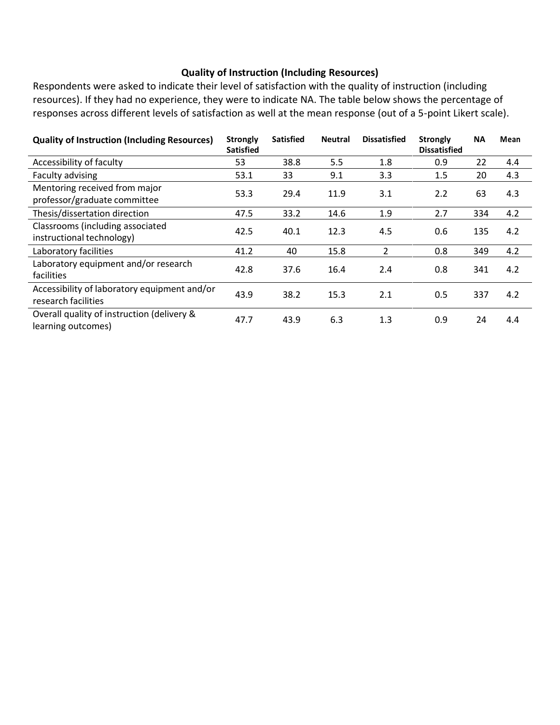#### **Quality of Instruction (Including Resources)**

Respondents were asked to indicate their level of satisfaction with the quality of instruction (including resources). If they had no experience, they were to indicate NA. The table below shows the percentage of responses across different levels of satisfaction as well at the mean response (out of a 5-point Likert scale).

| <b>Quality of Instruction (Including Resources)</b>                 | <b>Strongly</b><br><b>Satisfied</b> | <b>Satisfied</b> | <b>Neutral</b> | <b>Dissatisfied</b> | <b>Strongly</b><br><b>Dissatisfied</b> | <b>NA</b> | Mean |
|---------------------------------------------------------------------|-------------------------------------|------------------|----------------|---------------------|----------------------------------------|-----------|------|
| Accessibility of faculty                                            | 53                                  | 38.8             | 5.5            | 1.8                 | 0.9                                    | 22        | 4.4  |
| Faculty advising                                                    | 53.1                                | 33               | 9.1            | 3.3                 | 1.5                                    | 20        | 4.3  |
| Mentoring received from major<br>professor/graduate committee       | 53.3                                | 29.4             | 11.9           | 3.1                 | 2.2                                    | 63        | 4.3  |
| Thesis/dissertation direction                                       | 47.5                                | 33.2             | 14.6           | 1.9                 | 2.7                                    | 334       | 4.2  |
| Classrooms (including associated<br>instructional technology)       | 42.5                                | 40.1             | 12.3           | 4.5                 | 0.6                                    | 135       | 4.2  |
| Laboratory facilities                                               | 41.2                                | 40               | 15.8           | 2                   | 0.8                                    | 349       | 4.2  |
| Laboratory equipment and/or research<br>facilities                  | 42.8                                | 37.6             | 16.4           | 2.4                 | 0.8                                    | 341       | 4.2  |
| Accessibility of laboratory equipment and/or<br>research facilities | 43.9                                | 38.2             | 15.3           | 2.1                 | 0.5                                    | 337       | 4.2  |
| Overall quality of instruction (delivery &<br>learning outcomes)    | 47.7                                | 43.9             | 6.3            | 1.3                 | 0.9                                    | 24        | 4.4  |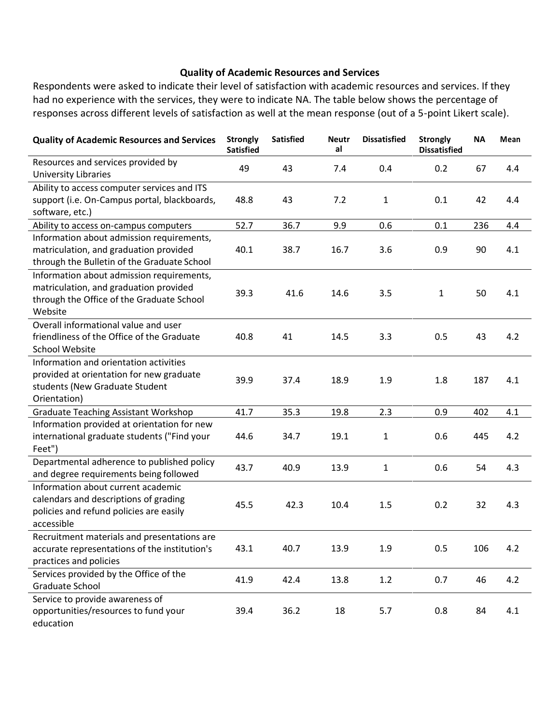#### **Quality of Academic Resources and Services**

Respondents were asked to indicate their level of satisfaction with academic resources and services. If they had no experience with the services, they were to indicate NA. The table below shows the percentage of responses across different levels of satisfaction as well at the mean response (out of a 5-point Likert scale).

| <b>Quality of Academic Resources and Services</b>                                                                                           | <b>Strongly</b><br><b>Satisfied</b> | <b>Satisfied</b> | <b>Neutr</b><br>al | <b>Dissatisfied</b> | <b>Strongly</b><br><b>Dissatisfied</b> | <b>NA</b> | Mean |
|---------------------------------------------------------------------------------------------------------------------------------------------|-------------------------------------|------------------|--------------------|---------------------|----------------------------------------|-----------|------|
| Resources and services provided by<br><b>University Libraries</b>                                                                           | 49                                  | 43               | 7.4                | 0.4                 | 0.2                                    | 67        | 4.4  |
| Ability to access computer services and ITS<br>support (i.e. On-Campus portal, blackboards,<br>software, etc.)                              | 48.8                                | 43               | 7.2                | 1                   | 0.1                                    | 42        | 4.4  |
| Ability to access on-campus computers                                                                                                       | 52.7                                | 36.7             | 9.9                | 0.6                 | 0.1                                    | 236       | 4.4  |
| Information about admission requirements,<br>matriculation, and graduation provided<br>through the Bulletin of the Graduate School          | 40.1                                | 38.7             | 16.7               | 3.6                 | 0.9                                    | 90        | 4.1  |
| Information about admission requirements,<br>matriculation, and graduation provided<br>through the Office of the Graduate School<br>Website | 39.3                                | 41.6             | 14.6               | 3.5                 | 1                                      | 50        | 4.1  |
| Overall informational value and user<br>friendliness of the Office of the Graduate<br><b>School Website</b>                                 | 40.8                                | 41               | 14.5               | 3.3                 | 0.5                                    | 43        | 4.2  |
| Information and orientation activities<br>provided at orientation for new graduate<br>students (New Graduate Student<br>Orientation)        | 39.9                                | 37.4             | 18.9               | 1.9                 | 1.8                                    | 187       | 4.1  |
| <b>Graduate Teaching Assistant Workshop</b>                                                                                                 | 41.7                                | 35.3             | 19.8               | 2.3                 | 0.9                                    | 402       | 4.1  |
| Information provided at orientation for new<br>international graduate students ("Find your<br>Feet")                                        | 44.6                                | 34.7             | 19.1               | $\mathbf{1}$        | 0.6                                    | 445       | 4.2  |
| Departmental adherence to published policy<br>and degree requirements being followed                                                        | 43.7                                | 40.9             | 13.9               | 1                   | 0.6                                    | 54        | 4.3  |
| Information about current academic<br>calendars and descriptions of grading<br>policies and refund policies are easily<br>accessible        | 45.5                                | 42.3             | 10.4               | 1.5                 | 0.2                                    | 32        | 4.3  |
| Recruitment materials and presentations are<br>accurate representations of the institution's<br>practices and policies                      | 43.1                                | 40.7             | 13.9               | 1.9                 | 0.5                                    | 106       | 4.2  |
| Services provided by the Office of the<br>Graduate School                                                                                   | 41.9                                | 42.4             | 13.8               | 1.2                 | 0.7                                    | 46        | 4.2  |
| Service to provide awareness of<br>opportunities/resources to fund your<br>education                                                        | 39.4                                | 36.2             | 18                 | 5.7                 | 0.8                                    | 84        | 4.1  |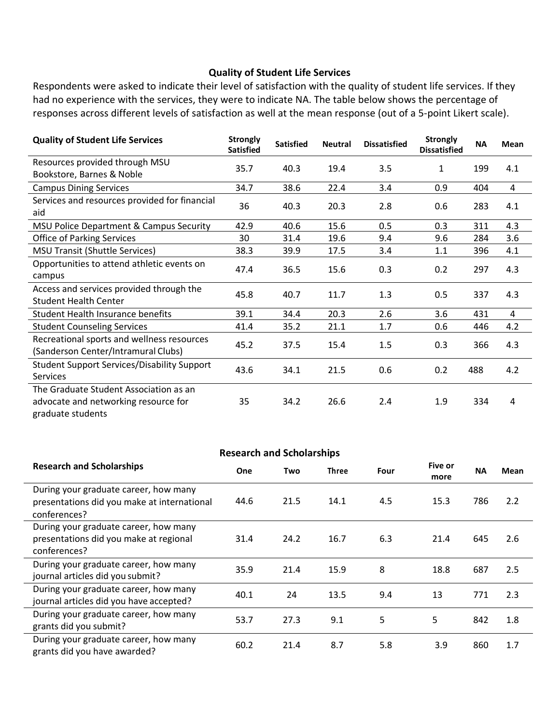#### **Quality of Student Life Services**

Respondents were asked to indicate their level of satisfaction with the quality of student life services. If they had no experience with the services, they were to indicate NA. The table below shows the percentage of responses across different levels of satisfaction as well at the mean response (out of a 5-point Likert scale).

| <b>Quality of Student Life Services</b>                                                             | <b>Strongly</b><br><b>Satisfied</b> | <b>Satisfied</b> | <b>Neutral</b> | <b>Dissatisfied</b> | <b>Strongly</b><br><b>Dissatisfied</b> | <b>NA</b> | <b>Mean</b> |
|-----------------------------------------------------------------------------------------------------|-------------------------------------|------------------|----------------|---------------------|----------------------------------------|-----------|-------------|
| Resources provided through MSU<br>Bookstore, Barnes & Noble                                         | 35.7                                | 40.3             | 19.4           | 3.5                 | 1                                      | 199       | 4.1         |
| <b>Campus Dining Services</b>                                                                       | 34.7                                | 38.6             | 22.4           | 3.4                 | 0.9                                    | 404       | 4           |
| Services and resources provided for financial<br>aid                                                | 36                                  | 40.3             | 20.3           | 2.8                 | 0.6                                    | 283       | 4.1         |
| MSU Police Department & Campus Security                                                             | 42.9                                | 40.6             | 15.6           | 0.5                 | 0.3                                    | 311       | 4.3         |
| <b>Office of Parking Services</b>                                                                   | 30                                  | 31.4             | 19.6           | 9.4                 | 9.6                                    | 284       | 3.6         |
| <b>MSU Transit (Shuttle Services)</b>                                                               | 38.3                                | 39.9             | 17.5           | 3.4                 | 1.1                                    | 396       | 4.1         |
| Opportunities to attend athletic events on<br>campus                                                | 47.4                                | 36.5             | 15.6           | 0.3                 | 0.2                                    | 297       | 4.3         |
| Access and services provided through the<br><b>Student Health Center</b>                            | 45.8                                | 40.7             | 11.7           | 1.3                 | 0.5                                    | 337       | 4.3         |
| Student Health Insurance benefits                                                                   | 39.1                                | 34.4             | 20.3           | 2.6                 | 3.6                                    | 431       | 4           |
| <b>Student Counseling Services</b>                                                                  | 41.4                                | 35.2             | 21.1           | 1.7                 | 0.6                                    | 446       | 4.2         |
| Recreational sports and wellness resources<br>(Sanderson Center/Intramural Clubs)                   | 45.2                                | 37.5             | 15.4           | 1.5                 | 0.3                                    | 366       | 4.3         |
| <b>Student Support Services/Disability Support</b><br><b>Services</b>                               | 43.6                                | 34.1             | 21.5           | 0.6                 | 0.2                                    | 488       | 4.2         |
| The Graduate Student Association as an<br>advocate and networking resource for<br>graduate students | 35                                  | 34.2             | 26.6           | 2.4                 | 1.9                                    | 334       | 4           |

| <b>Research and Scholarships</b>                                                                     |      |      |              |      |                 |           |      |
|------------------------------------------------------------------------------------------------------|------|------|--------------|------|-----------------|-----------|------|
| <b>Research and Scholarships</b>                                                                     | One  | Two  | <b>Three</b> | Four | Five or<br>more | <b>NA</b> | Mean |
| During your graduate career, how many<br>presentations did you make at international<br>conferences? | 44.6 | 21.5 | 14.1         | 4.5  | 15.3            | 786       | 2.2  |
| During your graduate career, how many<br>presentations did you make at regional<br>conferences?      | 31.4 | 24.2 | 16.7         | 6.3  | 21.4            | 645       | 2.6  |
| During your graduate career, how many<br>journal articles did you submit?                            | 35.9 | 21.4 | 15.9         | 8    | 18.8            | 687       | 2.5  |
| During your graduate career, how many<br>journal articles did you have accepted?                     | 40.1 | 24   | 13.5         | 9.4  | 13              | 771       | 2.3  |
| During your graduate career, how many<br>grants did you submit?                                      | 53.7 | 27.3 | 9.1          | 5    | 5               | 842       | 1.8  |
| During your graduate career, how many<br>grants did you have awarded?                                | 60.2 | 21.4 | 8.7          | 5.8  | 3.9             | 860       | 1.7  |